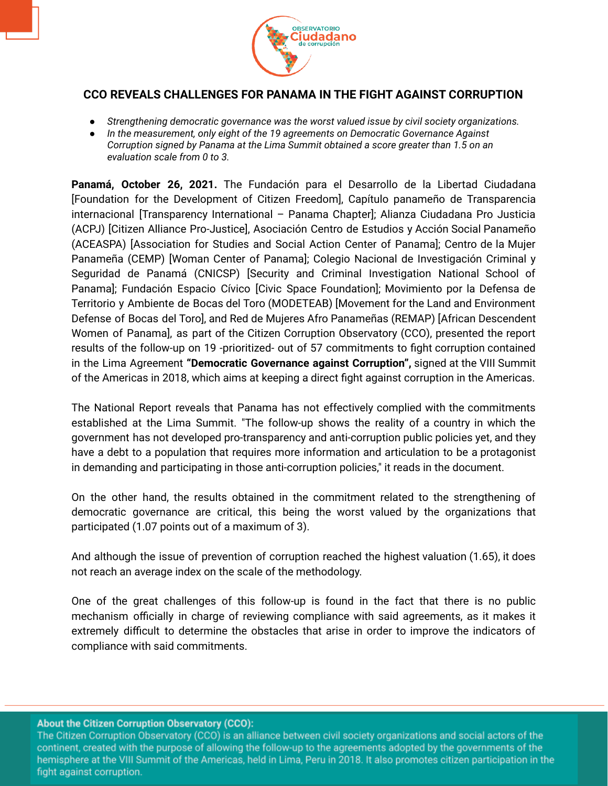

## **CCO REVEALS CHALLENGES FOR PANAMA IN THE FIGHT AGAINST CORRUPTION**

- *● Strengthening democratic governance was the worst valued issue by civil society organizations.*
- *In the measurement, only eight of the 19 agreements on Democratic Governance Against Corruption signed by Panama at the Lima Summit obtained a score greater than 1.5 on an evaluation scale from 0 to 3.*

**Panamá, October 26, 2021.** The Fundación para el Desarrollo de la Libertad Ciudadana [Foundation for the Development of Citizen Freedom], Capítulo panameño de Transparencia internacional [Transparency International – Panama Chapter]; Alianza Ciudadana Pro Justicia (ACPJ) [Citizen Alliance Pro-Justice], Asociación Centro de Estudios y Acción Social Panameño (ACEASPA) [Association for Studies and Social Action Center of Panama]; Centro de la Mujer Panameña (CEMP) [Woman Center of Panama]; Colegio Nacional de Investigación Criminal y Seguridad de Panamá (CNICSP) [Security and Criminal Investigation National School of Panama]; Fundación Espacio Cívico [Civic Space Foundation]; Movimiento por la Defensa de Territorio y Ambiente de Bocas del Toro (MODETEAB) [Movement for the Land and Environment Defense of Bocas del Toro], and Red de Mujeres Afro Panameñas (REMAP) [African Descendent Women of Panama], as part of the Citizen Corruption Observatory (CCO), presented the report results of the follow-up on 19 -prioritized- out of 57 commitments to fight corruption contained in the Lima Agreement **"Democratic Governance against Corruption",** signed at the VIII Summit of the Americas in 2018, which aims at keeping a direct fight against corruption in the Americas.

The National Report reveals that Panama has not effectively complied with the commitments established at the Lima Summit. "The follow-up shows the reality of a country in which the government has not developed pro-transparency and anti-corruption public policies yet, and they have a debt to a population that requires more information and articulation to be a protagonist in demanding and participating in those anti-corruption policies," it reads in the document.

On the other hand, the results obtained in the commitment related to the strengthening of democratic governance are critical, this being the worst valued by the organizations that participated (1.07 points out of a maximum of 3).

And although the issue of prevention of corruption reached the highest valuation (1.65), it does not reach an average index on the scale of the methodology.

One of the great challenges of this follow-up is found in the fact that there is no public mechanism officially in charge of reviewing compliance with said agreements, as it makes it extremely difficult to determine the obstacles that arise in order to improve the indicators of compliance with said commitments.

## About the Citizen Corruption Observatory (CCO):

The Citizen Corruption Observatory (CCO) is an alliance between civil society organizations and social actors of the continent, created with the purpose of allowing the follow-up to the agreements adopted by the governments of the hemisphere at the VIII Summit of the Americas, held in Lima, Peru in 2018. It also promotes citizen participation in the fight against corruption.